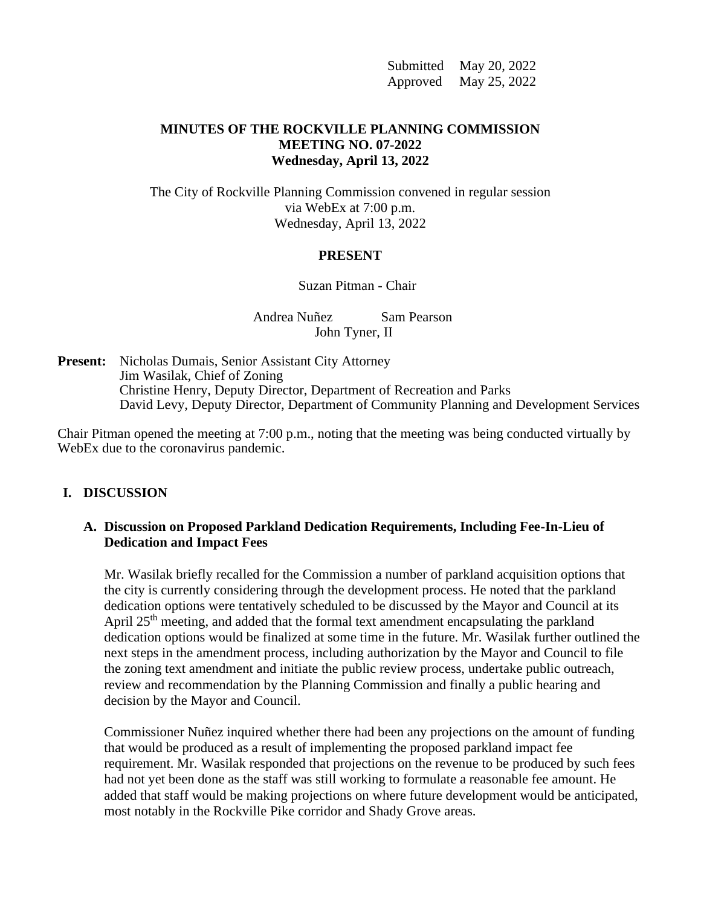Submitted May 20, 2022 Approved May 25, 2022

## **MINUTES OF THE ROCKVILLE PLANNING COMMISSION MEETING NO. 07-2022 Wednesday, April 13, 2022**

The City of Rockville Planning Commission convened in regular session via WebEx at 7:00 p.m. Wednesday, April 13, 2022

#### **PRESENT**

#### Suzan Pitman - Chair

Andrea Nuñez Sam Pearson John Tyner, II

**Present:** Nicholas Dumais, Senior Assistant City Attorney Jim Wasilak, Chief of Zoning Christine Henry, Deputy Director, Department of Recreation and Parks David Levy, Deputy Director, Department of Community Planning and Development Services

Chair Pitman opened the meeting at 7:00 p.m., noting that the meeting was being conducted virtually by WebEx due to the coronavirus pandemic.

#### **I. DISCUSSION**

### **A. Discussion on Proposed Parkland Dedication Requirements, Including Fee-In-Lieu of Dedication and Impact Fees**

Mr. Wasilak briefly recalled for the Commission a number of parkland acquisition options that the city is currently considering through the development process. He noted that the parkland dedication options were tentatively scheduled to be discussed by the Mayor and Council at its April  $25<sup>th</sup>$  meeting, and added that the formal text amendment encapsulating the parkland dedication options would be finalized at some time in the future. Mr. Wasilak further outlined the next steps in the amendment process, including authorization by the Mayor and Council to file the zoning text amendment and initiate the public review process, undertake public outreach, review and recommendation by the Planning Commission and finally a public hearing and decision by the Mayor and Council.

Commissioner Nuñez inquired whether there had been any projections on the amount of funding that would be produced as a result of implementing the proposed parkland impact fee requirement. Mr. Wasilak responded that projections on the revenue to be produced by such fees had not yet been done as the staff was still working to formulate a reasonable fee amount. He added that staff would be making projections on where future development would be anticipated, most notably in the Rockville Pike corridor and Shady Grove areas.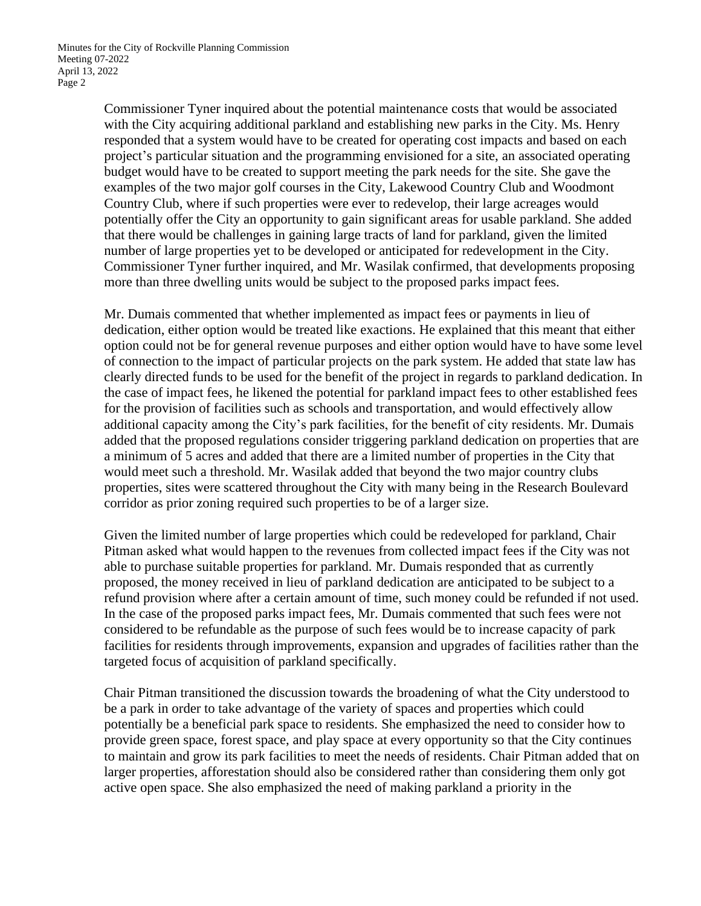Commissioner Tyner inquired about the potential maintenance costs that would be associated with the City acquiring additional parkland and establishing new parks in the City. Ms. Henry responded that a system would have to be created for operating cost impacts and based on each project's particular situation and the programming envisioned for a site, an associated operating budget would have to be created to support meeting the park needs for the site. She gave the examples of the two major golf courses in the City, Lakewood Country Club and Woodmont Country Club, where if such properties were ever to redevelop, their large acreages would potentially offer the City an opportunity to gain significant areas for usable parkland. She added that there would be challenges in gaining large tracts of land for parkland, given the limited number of large properties yet to be developed or anticipated for redevelopment in the City. Commissioner Tyner further inquired, and Mr. Wasilak confirmed, that developments proposing more than three dwelling units would be subject to the proposed parks impact fees.

Mr. Dumais commented that whether implemented as impact fees or payments in lieu of dedication, either option would be treated like exactions. He explained that this meant that either option could not be for general revenue purposes and either option would have to have some level of connection to the impact of particular projects on the park system. He added that state law has clearly directed funds to be used for the benefit of the project in regards to parkland dedication. In the case of impact fees, he likened the potential for parkland impact fees to other established fees for the provision of facilities such as schools and transportation, and would effectively allow additional capacity among the City's park facilities, for the benefit of city residents. Mr. Dumais added that the proposed regulations consider triggering parkland dedication on properties that are a minimum of 5 acres and added that there are a limited number of properties in the City that would meet such a threshold. Mr. Wasilak added that beyond the two major country clubs properties, sites were scattered throughout the City with many being in the Research Boulevard corridor as prior zoning required such properties to be of a larger size.

Given the limited number of large properties which could be redeveloped for parkland, Chair Pitman asked what would happen to the revenues from collected impact fees if the City was not able to purchase suitable properties for parkland. Mr. Dumais responded that as currently proposed, the money received in lieu of parkland dedication are anticipated to be subject to a refund provision where after a certain amount of time, such money could be refunded if not used. In the case of the proposed parks impact fees, Mr. Dumais commented that such fees were not considered to be refundable as the purpose of such fees would be to increase capacity of park facilities for residents through improvements, expansion and upgrades of facilities rather than the targeted focus of acquisition of parkland specifically.

Chair Pitman transitioned the discussion towards the broadening of what the City understood to be a park in order to take advantage of the variety of spaces and properties which could potentially be a beneficial park space to residents. She emphasized the need to consider how to provide green space, forest space, and play space at every opportunity so that the City continues to maintain and grow its park facilities to meet the needs of residents. Chair Pitman added that on larger properties, afforestation should also be considered rather than considering them only got active open space. She also emphasized the need of making parkland a priority in the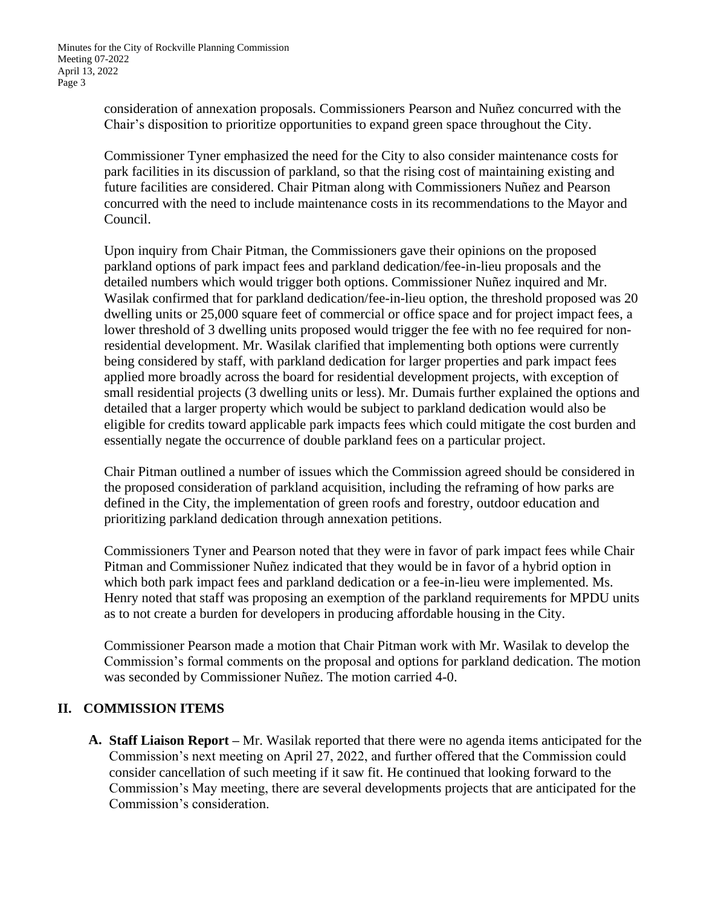consideration of annexation proposals. Commissioners Pearson and Nuñez concurred with the Chair's disposition to prioritize opportunities to expand green space throughout the City.

Commissioner Tyner emphasized the need for the City to also consider maintenance costs for park facilities in its discussion of parkland, so that the rising cost of maintaining existing and future facilities are considered. Chair Pitman along with Commissioners Nuñez and Pearson concurred with the need to include maintenance costs in its recommendations to the Mayor and Council.

Upon inquiry from Chair Pitman, the Commissioners gave their opinions on the proposed parkland options of park impact fees and parkland dedication/fee-in-lieu proposals and the detailed numbers which would trigger both options. Commissioner Nuñez inquired and Mr. Wasilak confirmed that for parkland dedication/fee-in-lieu option, the threshold proposed was 20 dwelling units or 25,000 square feet of commercial or office space and for project impact fees, a lower threshold of 3 dwelling units proposed would trigger the fee with no fee required for nonresidential development. Mr. Wasilak clarified that implementing both options were currently being considered by staff, with parkland dedication for larger properties and park impact fees applied more broadly across the board for residential development projects, with exception of small residential projects (3 dwelling units or less). Mr. Dumais further explained the options and detailed that a larger property which would be subject to parkland dedication would also be eligible for credits toward applicable park impacts fees which could mitigate the cost burden and essentially negate the occurrence of double parkland fees on a particular project.

Chair Pitman outlined a number of issues which the Commission agreed should be considered in the proposed consideration of parkland acquisition, including the reframing of how parks are defined in the City, the implementation of green roofs and forestry, outdoor education and prioritizing parkland dedication through annexation petitions.

Commissioners Tyner and Pearson noted that they were in favor of park impact fees while Chair Pitman and Commissioner Nuñez indicated that they would be in favor of a hybrid option in which both park impact fees and parkland dedication or a fee-in-lieu were implemented. Ms. Henry noted that staff was proposing an exemption of the parkland requirements for MPDU units as to not create a burden for developers in producing affordable housing in the City.

Commissioner Pearson made a motion that Chair Pitman work with Mr. Wasilak to develop the Commission's formal comments on the proposal and options for parkland dedication. The motion was seconded by Commissioner Nuñez. The motion carried 4-0.

# **II. COMMISSION ITEMS**

**A. Staff Liaison Report –** Mr. Wasilak reported that there were no agenda items anticipated for the Commission's next meeting on April 27, 2022, and further offered that the Commission could consider cancellation of such meeting if it saw fit. He continued that looking forward to the Commission's May meeting, there are several developments projects that are anticipated for the Commission's consideration.